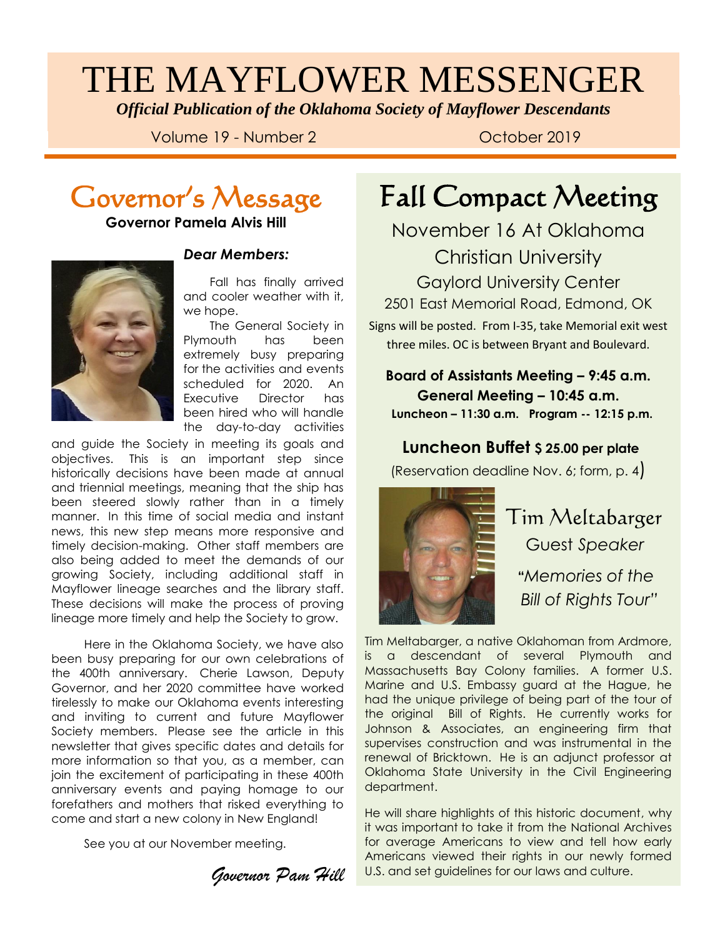# THE MAYFLOWER MESSENGER

*Official Publication of the Oklahoma Society of Mayflower Descendants*

Volume 19 - Number 2 Colober 2019

### Governor's Message

**Governor Pamela Alvis Hill**



#### *Dear Members:*

 Fall has finally arrived and cooler weather with it, we hope.

 The General Society in Plymouth has been extremely busy preparing for the activities and events scheduled for 2020. An Executive Director has been hired who will handle the day-to-day activities

and guide the Society in and guide the Society in meeting its goals and objectives. This is an important step since historically decisions have been made at annual and triennial meetings, meaning that the ship has been steered slowly rather than in a timely manner. In this time of social media and instant news, this new step means more responsive and timely decision-making. Other staff members are also being added to meet the demands of our growing Society, including additional staff in Mayflower lineage searches and the library staff. These decisions will make the process of proving lineage more timely and help the Society to grow.

 Here in the Oklahoma Society, we have also been busy preparing for our own celebrations of the 400th anniversary. Cherie Lawson, Deputy Governor, and her 2020 committee have worked tirelessly to make our Oklahoma events interesting and inviting to current and future Mayflower Society members. Please see the article in this newsletter that gives specific dates and details for more information so that you, as a member, can join the excitement of participating in these 400th anniversary events and paying homage to our forefathers and mothers that risked everything to come and start a new colony in New England!

See you at our November meeting.

*Governor Pam Hill*

## Fall Compact Meeting

November 16 At Oklahoma Christian University

Gaylord University Center 2501 East Memorial Road, Edmond, OK

Signs will be posted. From I-35, take Memorial exit west three miles. OC is between Bryant and Boulevard.

**Board of Assistants Meeting – 9:45 a.m. General Meeting – 10:45 a.m. Luncheon – 11:30 a.m. Program -- 12:15 p.m.**

#### **Luncheon Buffet \$ 25.00 per plate**

(Reservation deadline Nov. 6; form, p. 4)



 Tim Meltabarger Guest *Speaker*  **"***Memories of the Bill of Rights Tour"*

Tim Meltabarger, a native Oklahoman from Ardmore, is a descendant of several Plymouth and Massachusetts Bay Colony families. A former U.S. Marine and U.S. Embassy guard at the Hague, he had the unique privilege of being part of the tour of the original Bill of Rights. He currently works for Johnson & Associates, an engineering firm that supervises construction and was instrumental in the renewal of Bricktown. He is an adjunct professor at Oklahoma State University in the Civil Engineering department.

He will share highlights of this historic document, why it was important to take it from the National Archives for average Americans to view and tell how early Americans viewed their rights in our newly formed U.S. and set guidelines for our laws and culture.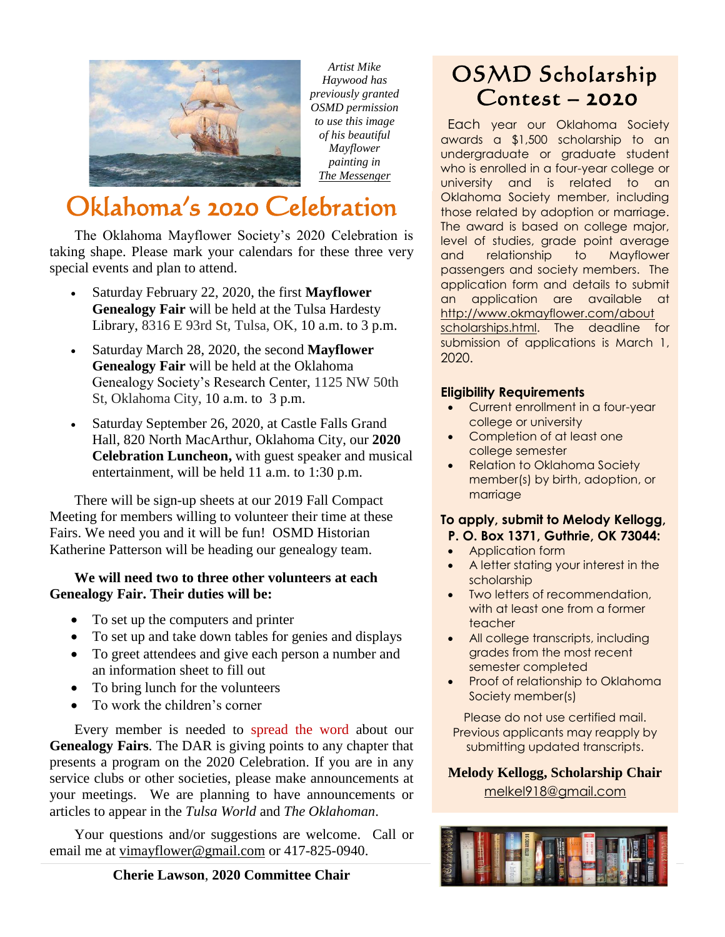

*Artist Mike Haywood has previously granted OSMD permission to use this image of his beautiful Mayflower painting in The Messenger*

## Oklahoma's 2020 Celebration

 The Oklahoma Mayflower Society's 2020 Celebration is taking shape. Please mark your calendars for these three very special events and plan to attend.

- Saturday February 22, 2020, the first **Mayflower Genealogy Fair** will be held at the Tulsa Hardesty Library, 8316 E 93rd St, Tulsa, OK, 10 a.m. to 3 p.m.
- Saturday March 28, 2020, the second **Mayflower Genealogy Fair** will be held at the Oklahoma Genealogy Society's Research Center, 1125 NW 50th St, Oklahoma City, 10 a.m. to 3 p.m.
- Saturday September 26, 2020, at Castle Falls Grand Hall, 820 North MacArthur, Oklahoma City, our **2020 Celebration Luncheon,** with guest speaker and musical entertainment, will be held 11 a.m. to 1:30 p.m.

 There will be sign-up sheets at our 2019 Fall Compact Meeting for members willing to volunteer their time at these Fairs. We need you and it will be fun! OSMD Historian Katherine Patterson will be heading our genealogy team.

#### **We will need two to three other volunteers at each Genealogy Fair. Their duties will be:**

- To set up the computers and printer
- To set up and take down tables for genies and displays
- To greet attendees and give each person a number and an information sheet to fill out
- To bring lunch for the volunteers
- To work the children's corner

 Every member is needed to spread the word about our **Genealogy Fairs**. The DAR is giving points to any chapter that presents a program on the 2020 Celebration. If you are in any service clubs or other societies, please make announcements at your meetings. We are planning to have announcements or articles to appear in the *Tulsa World* and *The Oklahoman*.

 Your questions and/or suggestions are welcome. Call or email me at [vimayflower@gmail.com](mailto:vimayflower@gmail.com) or 417-825-0940.

#### **Cherie Lawson**, **2020 Committee Chair**

### OSMD Scholarship Contest – 2020

 Each year our Oklahoma Society awards a \$1,500 scholarship to an undergraduate or graduate student who is enrolled in a four-year college or university and is related to an Oklahoma Society member, including those related by adoption or marriage. The award is based on college major, level of studies, grade point average and relationship to Mayflower passengers and society members. The application form and details to submit an application are available at [http://www.okmayflower.com/about](http://www.okmayflower.com/about%20scholarships.html)  [scholarships.html.](http://www.okmayflower.com/about%20scholarships.html) The deadline for submission of applications is March 1, 2020.

#### **Eligibility Requirements**

- Current enrollment in a four-year college or university
- Completion of at least one college semester
- Relation to Oklahoma Society member(s) by birth, adoption, or marriage

#### **To apply, submit to Melody Kellogg, P. O. Box 1371, Guthrie, OK 73044:**

- [Application](https://docs.wixstatic.com/ugd/03a11e_aee039dbfda743b8ac2dbe4c4fbb7de8.pdf) form
- A letter stating your interest in the scholarship
- Two letters of recommendation, with at least one from a former teacher
- All college transcripts, including grades from the most recent semester completed
- Proof of relationship to Oklahoma Society member(s)

Please do not use certified mail. Previous applicants may reapply by submitting updated transcripts.

**Melody Kellogg, Scholarship Chair** [melkel918@gmail.com](mailto:melkel918@gmail.com)

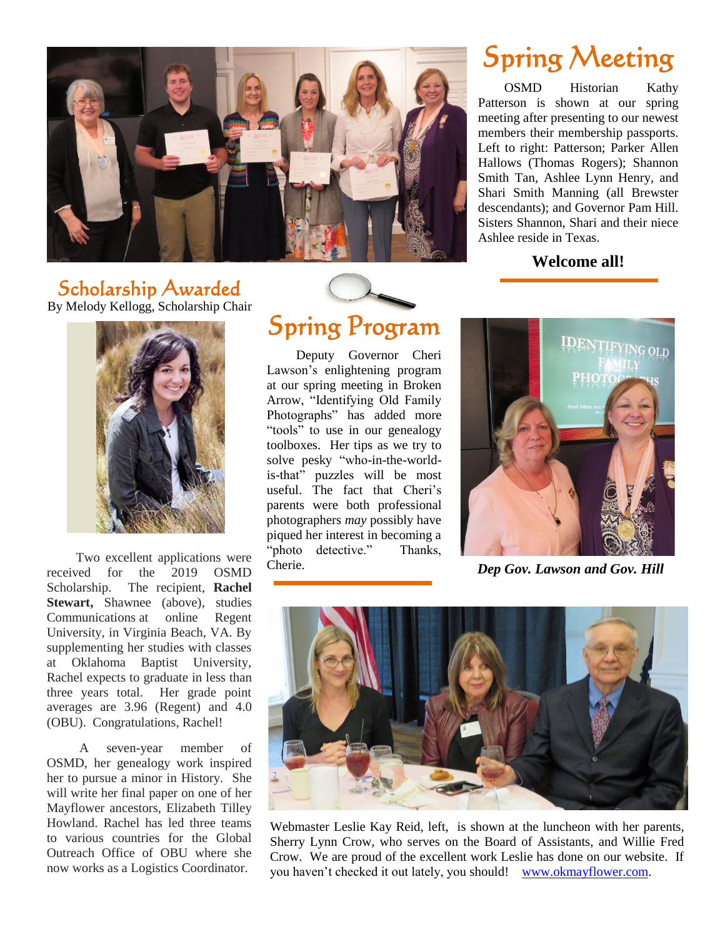

# Spring Meeting

 OSMD Historian Kathy Patterson is shown at our spring meeting after presenting to our newest members their membership passports. Left to right: Patterson; Parker Allen Hallows (Thomas Rogers); Shannon Smith Tan, Ashlee Lynn Henry, and Shari Smith Manning (all Brewster descendants); and Governor Pam Hill. Sisters Shannon, Shari and their niece Ashlee reside in Texas.

#### **Welcome all!**

### Scholarship Awarded





 Two excellent applications were received for the 2019 OSMD Scholarship. The recipient, **Rachel Stewart,** Shawnee (above), studies Communications at online Regent University, in Virginia Beach, VA. By supplementing her studies with classes at Oklahoma Baptist University, Rachel expects to graduate in less than three years total. Her grade point averages are 3.96 (Regent) and 4.0 (OBU). Congratulations, Rachel!

 A seven-year member of OSMD, her genealogy work inspired her to pursue a minor in History. She will write her final paper on one of her Mayflower ancestors, Elizabeth Tilley Howland. Rachel has led three teams to various countries for the Global Outreach Office of OBU where she now works as a Logistics Coordinator.

# Spring Program

 Deputy Governor Cheri Lawson's enlightening program at our spring meeting in Broken Arrow, "Identifying Old Family Photographs" has added more "tools" to use in our genealogy toolboxes. Her tips as we try to solve pesky "who-in-the-worldis-that" puzzles will be most useful. The fact that Cheri's parents were both professional photographers *may* possibly have piqued her interest in becoming a "photo detective." Thanks, Cherie.



*Dep Gov. Lawson and Gov. Hill*



Webmaster Leslie Kay Reid, left, is shown at the luncheon with her parents, Sherry Lynn Crow, who serves on the Board of Assistants, and Willie Fred Crow. We are proud of the excellent work Leslie has done on our website. If you haven't checked it out lately, you should! [www.okmayflower.com.](http://www.okmayflower.com/)